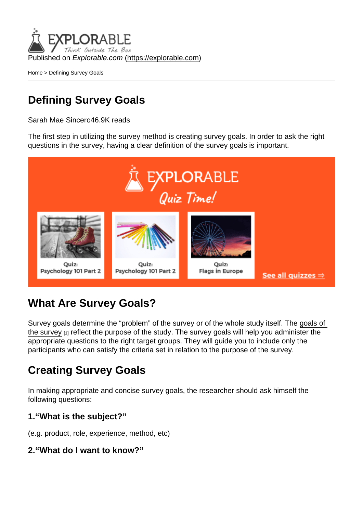Published on Explorable.com (<https://explorable.com>)

[Home](https://explorable.com/) > Defining Survey Goals

## Defining Survey Goals

Sarah Mae Sincero46.9K reads

The first step in utilizing the survey method is creating survey goals. In order to ask the right questions in the survey, having a clear definition of the survey goals is important.

## What Are Survey Goals?

Survey goals determine the "problem" of the survey or of the whole study itself. The [goals of](http://blog.vovici.com/blog/bid/18186/Good-Surveys-start-with-Good-Goals)  [the survey](http://blog.vovici.com/blog/bid/18186/Good-Surveys-start-with-Good-Goals) [1] reflect the purpose of the study. The survey goals will help you administer the appropriate questions to the right target groups. They will guide you to include only the participants who can satisfy the criteria set in relation to the purpose of the survey.

## Creating Survey Goals

In making appropriate and concise survey goals, the researcher should ask himself the following questions:

1."What is the subject?"

(e.g. product, role, experience, method, etc)

2."What do I want to know?"